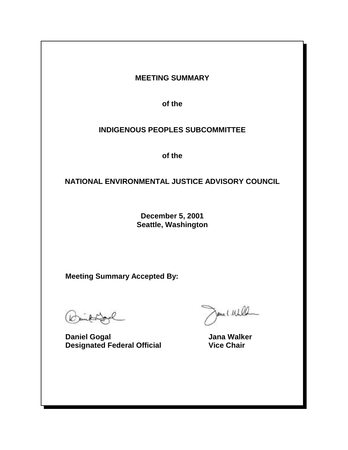**MEETING SUMMARY** 

**of the** 

# **INDIGENOUS PEOPLES SUBCOMMITTEE**

**of the** 

# **NATIONAL ENVIRONMENTAL JUSTICE ADVISORY COUNCIL**

**December 5, 2001 Seattle, Washington** 

**Meeting Summary Accepted By:** 

 $C$  and

**Daniel Gogal Communist Communist Communist Communist Communist Communist Communist Communist Communist Communist Communist Communist Communist Communist Communist Communist Communist Communist Communist Communist Communis Designated Federal Official Wice Chair** 

Jana 1 Will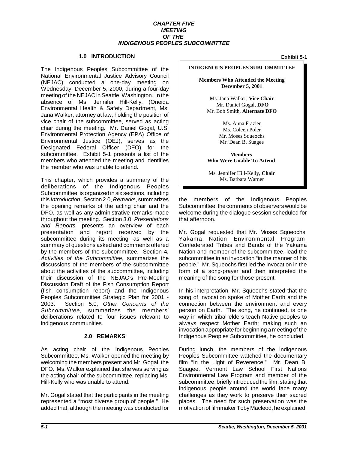#### **CHAPTER FIVE MEETING OF THE INDIGENOUS PEOPLES SUBCOMMITTEE**

#### **1.0 INTRODUCTION Exhibit 5-1**

The Indigenous Peoples Subcommittee of the National Environmental Justice Advisory Council (NEJAC) conducted a one-day meeting on Wednesday, December 5, 2000, during a four-day meeting of the NEJAC in Seattle, Washington. In the absence of Ms. Jennifer Hill-Kelly, (Oneida Environmental Health & Safety Department, Ms. Jana Walker, attorney at law, holding the position of vice chair of the subcommittee, served as acting chair during the meeting. Mr. Daniel Gogal, U.S. Environmental Protection Agency (EPA) Office of Environmental Justice (OEJ), serves as the Designated Federal Officer (DFO) for the subcommittee. Exhibit 5-1 presents a list of the members who attended the meeting and identifies the member who was unable to attend.

This chapter, which provides a summary of the deliberations of the Indigenous Peoples Subcommittee, is organized in six sections, including this Introduction. Section 2.0, Remarks, summarizes the opening remarks of the acting chair and the DFO, as well as any administrative remarks made throughout the meeting. Section 3.0, Presentations and Reports, presents an overview of each presentation and report received by the subcommittee during its meeting, as well as a summary of questions asked and comments offered by the members of the subcommittee. Section 4, Activities of the Subcommittee, summarizes the discussions of the members of the subcommittee about the activities of the subcommittee, including their discussion of the NEJAC's Pre-Meeting Discussion Draft of the Fish Consumption Report (fish consumption report) and the Indigenous Peoples Subcommittee Strategic Plan for 2001 2003. Section 5.0, Other Concerns of the Subcommittee, summarizes the members' deliberations related to four issues relevant to indigenous communities.

#### **2.0 REMARKS**

As acting chair of the Indigenous Peoples Subcommittee, Ms. Walker opened the meeting by welcoming the members present and Mr. Gogal, the DFO. Ms. Walker explained that she was serving as the acting chair of the subcommittee, replacing Ms. Hill-Kelly who was unable to attend.

Mr. Gogal stated that the participants in the meeting represented a "most diverse group of people." He added that, although the meeting was conducted for

#### **INDIGENOUS PEOPLES SUBCOMMITTEE**

**Members Who Attended the Meeting December 5, 2001** 

Ms. Jana Walker, **Vice Chair**  Mr. Daniel Gogal, **DFO** Mr. Bob Smith, **Alternate DFO** 

> Ms. Anna Frazier Ms. Coleen Poler Mr. Moses Squeochs Mr. Dean B. Suagee

**Members Who Were Unable To Attend** 

Ms. Jennifer Hill-Kelly, **Chair** Ms. Barbara Warner

the members of the Indigenous Peoples Subcommittee, the comments of observers would be welcome during the dialogue session scheduled for that afternoon.

Mr. Gogal requested that Mr. Moses Squeochs, Yakama Nation Environmental Program, Confederated Tribes and Bands of the Yakama Nation and member of the subcommittee, lead the subcommittee in an invocation "in the manner of his people." Mr. Squeochs first led the invocation in the form of a song-prayer and then interpreted the meaning of the song for those present.

In his interpretation, Mr. Squeochs stated that the song of invocation spoke of Mother Earth and the connection between the environment and every person on Earth. The song, he continued, is one way in which tribal elders teach Native peoples to always respect Mother Earth; making such an invocation appropriate for beginning a meeting of the Indigenous Peoples Subcommittee, he concluded.

During lunch, the members of the Indigenous Peoples Subcommittee watched the documentary film "In the Light of Reverence." Mr. Dean B. Suagee, Vermont Law School First Nations Environmental Law Program and member of the subcommittee, briefly introduced the film, stating that indigenous people around the world face many challenges as they work to preserve their sacred places. The need for such preservation was the motivation of filmmaker TobyMacleod, he explained,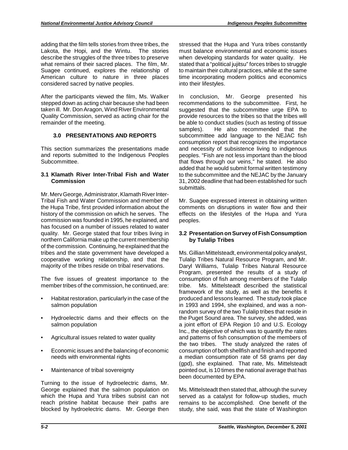adding that the film tells stories from three tribes, the Lakota, the Hopi, and the Wintu. The stories describe the struggles of the three tribes to preserve what remains of their sacred places. The film, Mr. Suagee continued, explores the relationship of American culture to nature in three places considered sacred by native peoples.

After the participants viewed the film, Ms. Walker stepped down as acting chair because she had been taken ill. Mr. Don Aragon, Wind River Environmental Quality Commission, served as acting chair for the remainder of the meeting.

## **3.0 PRESENTATIONS AND REPORTS**

This section summarizes the presentations made and reports submitted to the Indigenous Peoples Subcommittee.

#### **3.1 Klamath River Inter-Tribal Fish and Water Commission**

Mr. MervGeorge, Administrator, Klamath River Inter-Tribal Fish and Water Commission and member of the Hupa Tribe, first provided information about the history of the commission on which he serves. The commission was founded in 1995, he explained, and has focused on a number of issues related to water quality. Mr. George stated that four tribes living in northern California make up the current membership of the commission. Continuing, he explained that the tribes and the state government have developed a cooperative working relationship, and that the majority of the tribes reside on tribal reservations.

The five issues of greatest importance to the member tribes of the commission, he continued, are:

- Habitat restoration, particularly in the case of the salmon population
- Hydroelectric dams and their effects on the salmon population
- Agricultural issues related to water quality
- Economic issues and the balancing of economic needs with environmental rights
- Maintenance of tribal sovereignty

Turning to the issue of hydroelectric dams, Mr. George explained that the salmon population on which the Hupa and Yura tribes subsist can not reach pristine habitat because their paths are blocked by hydroelectric dams. Mr. George then

stressed that the Hupa and Yura tribes constantly must balance environmental and economic issues when developing standards for water quality. He stated that a "political jujitsu" forces tribes to struggle to maintain their cultural practices, while at the same time incorporating modern politics and economics into their lifestyles.

In conclusion, Mr. George presented his recommendations to the subcommittee. First, he suggested that the subcommittee urge EPA to provide resources to the tribes so that the tribes will be able to conduct studies (such as testing of tissue samples). He also recommended that the subcommittee add language to the NEJAC fish consumption report that recognizes the importance and necessity of subsistence living to indigenous peoples. "Fish are not less important than the blood that flows through our veins," he stated. He also added that he would submit formal written testimony to the subcommittee and the NEJAC by the January 31, 2002 deadline that had been established for such submittals.

Mr. Suagee expressed interest in obtaining written comments on disruptions in water flow and their effects on the lifestyles of the Hupa and Yura peoples.

#### **3.2 Presentation on Survey of Fish Consumption by Tulalip Tribes**

Ms. Gillian Mittelsteadt, environmental policyanalyst, Tulalip Tribes Natural Resource Program, and Mr. Daryl Williams, Tulalip Tribes Natural Resource Program, presented the results of a study of consumption of fish among members of the Tulalip tribe. Ms. Mittelsteadt described the statistical framework of the study, as well as the benefits it produced and lessons learned. The study took place in 1993 and 1994, she explained, and was a nonrandom survey of the two Tulalip tribes that reside in the Puget Sound area. The survey, she added, was a joint effort of EPA Region 10 and U.S. Ecology Inc., the objective of which was to quantify the rates and patterns of fish consumption of the members of the two tribes. The study analyzed the rates of consumption of both shellfish and finish and reported a median consumption rate of 58 grams per day (gpd), she explained. That rate, Ms. Mittelsteadt pointed out, is 10 times the national average that has been documented by EPA.

Ms. Mittelsteadt then stated that, although the survey served as a catalyst for follow-up studies, much remains to be accomplished. One benefit of the study, she said, was that the state of Washington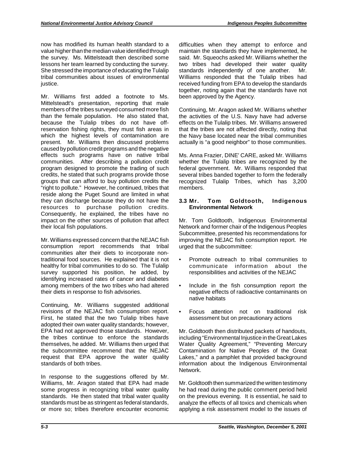now has modified its human health standard to a value higher than the median value identified through the survey. Ms. Mittelsteadt then described some lessons her team learned by conducting the survey. She stressed the importance of educating the Tulalip tribal communities about issues of environmental justice.

Mr. Williams first added a footnote to Ms. Mittelsteadt's presentation, reporting that male members of the tribes surveyed consumed more fish than the female population. He also stated that, because the Tulalip tribes do not have offreservation fishing rights, they must fish areas in which the highest levels of contamination are present. Mr. Williams then discussed problems caused by pollution credit programs and the negative effects such programs have on native tribal communities. After describing a pollution credit program designed to promote the trading of such credits, he stated that such programs provide those groups that can afford to buy pollution credits the "right to pollute." However, he continued, tribes that reside along the Puget Sound are limited in what they can discharge because they do not have the resources to purchase pollution credits. Consequently, he explained, the tribes have no impact on the other sources of pollution that affect their local fish populations.

Mr. Williams expressed concern that the NEJAC fish consumption report recommends that tribal communities alter their diets to incorporate nontraditional food sources. He explained that it is not healthy for tribal communities to do so. The Tulalip survey supported his position, he added, by identifying increased rates of cancer and diabetes among members of the two tribes who had altered their diets in response to fish advisories.

Continuing, Mr. Williams suggested additional revisions of the NEJAC fish consumption report. First, he stated that the two Tulalip tribes have adopted their own water quality standards; however, EPA had not approved those standards. However, the tribes continue to enforce the standards themselves, he added. Mr. Williams then urged that the subcommittee recommend that the NEJAC request that EPA approve the water quality standards of both tribes.

In response to the suggestions offered by Mr. Williams, Mr. Aragon stated that EPA had made some progress in recognizing tribal water quality standards. He then stated that tribal water quality standards must be as stringent as federal standards, or more so; tribes therefore encounter economic

difficulties when they attempt to enforce and maintain the standards they have implemented, he said. Mr. Squeochs asked Mr. Williams whether the two tribes had developed their water quality standards independently of one another. Mr. Williams responded that the Tulalip tribes had received funding from EPA to develop the standards together, noting again that the standards have not been approved by the Agency.

Continuing, Mr. Aragon asked Mr. Williams whether the activities of the U.S. Navy have had adverse effects on the Tulalip tribes. Mr. Williams answered that the tribes are not affected directly, noting that the Navy base located near the tribal communities actually is "a good neighbor" to those communities.

Ms. Anna Frazier, DINE' CARE, asked Mr. Williams whether the Tulalip tribes are recognized by the federal government. Mr. Williams responded that several tribes banded together to form the federally recognized Tulalip Tribes, which has 3,200 members.

#### **3.3 Mr. Tom Goldtooth, Indigenous Environmental Network**

Mr. Tom Goldtooth, Indigenous Environmental Network and former chair of the Indigenous Peoples Subcommittee, presented his recommendations for improving the NEJAC fish consumption report. He urged that the subcommittee:

- Promote outreach to tribal communities to communicate information about the responsibilities and activities of the NEJAC
- • Include in the fish consumption report the negative effects of radioactive contaminants on native habitats
- • Focus attention not on traditional risk assessment but on precautionary actions

Mr. Goldtooth then distributed packets of handouts, including "Environmental Injustice in the Great Lakes Water Quality Agreement," "Preventing Mercury Contamination for Native Peoples of the Great Lakes," and a pamphlet that provided background information about the Indigenous Environmental Network.

Mr. Goldtooth then summarized the written testimony he had read during the public comment period held on the previous evening. It is essential, he said to analyze the effects of all toxics and chemicals when applying a risk assessment model to the issues of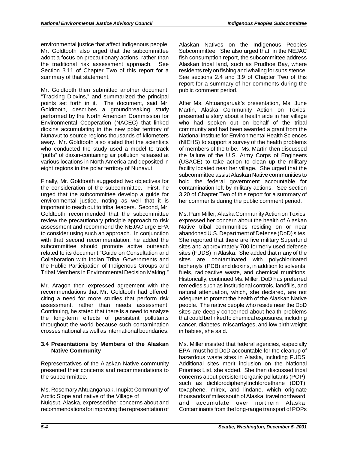environmental justice that affect indigenous people. Mr. Goldtooth also urged that the subcommittee adopt a focus on precautionary actions, rather than the traditional risk assessment approach. See Section 3.11 of Chapter Two of this report for a summary of that statement.

Mr. Goldtooth then submitted another document, "Tracking Dioxins," and summarized the principal points set forth in it. The document, said Mr. Goldtooth, describes a groundbreaking study performed by the North American Commission for Environmental Cooperation (NACEC) that linked dioxins accumulating in the new polar territory of Nunavut to source regions thousands of kilometers away. Mr. Goldtooth also stated that the scientists who conducted the study used a model to track "puffs" of dioxin-containing air pollution released at various locations in North America and deposited in eight regions in the polar territory of Nunavut.

Finally, Mr. Goldtooth suggested two objectives for the consideration of the subcommittee. First, he urged that the subcommittee develop a guide for environmental justice, noting as well that it is important to reach out to tribal leaders. Second, Mr. Goldtooth recommended that the subcommittee review the precautionary principle approach to risk assessment and recommend the NEJAC urge EPA to consider using such an approach. In conjunction with that second recommendation, he added the subcommittee should promote active outreach related to its document "Guide on Consultation and Collaboration with Indian Tribal Governments and the Public Participation of Indigenous Groups and Tribal Members in Environmental Decision Making."

Mr. Aragon then expressed agreement with the recommendations that Mr. Goldtooth had offered, citing a need for more studies that perform risk assessment, rather than needs assessment. Continuing, he stated that there is a need to analyze the long-term effects of persistent pollutants throughout the world because such contamination crosses national as well as international boundaries.

#### **3.4 Presentations by Members of the Alaskan Native Community**

Representatives of the Alaskan Native community presented their concerns and recommendations to the subcommittee.

Ms. Rosemary Ahtuangaruak, Inupiat Community of Arctic Slope and native of the Village of Nuiqsut, Alaska, expressed her concerns about and recommendations for improving the representation of Alaskan Natives on the Indigenous Peoples Subcommittee. She also urged that, in the NEJAC fish consumption report, the subcommittee address Alaskan tribal land, such as Prudhoe Bay, where residents rely on fishing and whaling for subsistence. See sections 2.4 and 3.9 of Chapter Two of this report for a summary of her comments during the public comment period.

After Ms. Ahtuangaruak's presentation, Ms. June Martin, Alaska Community Action on Toxics, presented a story about a health aide in her village who had spoken out on behalf of the tribal community and had been awarded a grant from the National Institute for Environmental Health Sciences (NIEHS) to support a survey of the health problems of members of the tribe. Ms. Martin then discussed the failure of the U.S. Army Corps of Engineers (USACE) to take action to clean up the military facility located near her village. She urged that the subcommittee assist Alaskan Native communities to hold the federal government accountable for contamination left by military actions. See section 3.20 of Chapter Two of this report for a summary of her comments during the public comment period.

Ms. Pam Miller, Alaska Community Action on Toxics, expressed her concern about the health of Alaskan Native tribal communities residing on or near abandoned U.S. Department of Defense (DoD) sites. She reported that there are five military Superfund sites and approximately 700 formerly used defense sites (FUDS) in Alaska. She added that many of the sites are contaminated with polychlorinated biphenyls (PCB) and dioxins, in addition to solvents, fuels, radioactive waste, and chemical munitions. Historically, continued Ms. Miller, DoD has preferred remedies such as institutional controls, landfills, and natural attenuation, which, she declared, are not adequate to protect the health of the Alaskan Native people. The native people who reside near the DoD sites are deeply concerned about health problems that could be linked to chemical exposures, including cancer, diabetes, miscarriages, and low birth weight in babies, she said.

Ms. Miller insisted that federal agencies, especially EPA, must hold DoD accountable for the cleanup of hazardous waste sites in Alaska, including FUDS. Additional sites merit inclusion on the National Priorities List, she added. She then discussed tribal concerns about persistent organic pollutants (POP), such as dichlorodiphenyltrichloroethane (DDT), toxaphene, mirex, and lindane, which originate thousands of miles south of Alaska, travel northward, and accumulate over northern Alaska. Contaminants from the long-range transport of POPs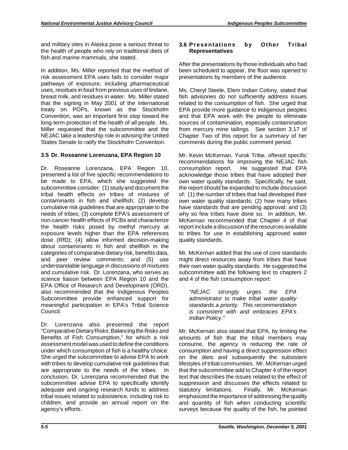and military sites in Alaska pose a serious threat to the health of people who rely on traditional diets of fish and marine mammals, she stated.

In addition, Ms. Miller reported that the method of risk assessment EPA uses fails to consider major pathways of exposure, including pharmaceutical uses, residues in food from previous uses of lindane, breast milk, and residues in water. Ms. Miller stated that the signing in May 2001 of the international treaty on POPs, known as the Stockholm Convention, was an important first step toward the long-term protection of the health of all people. Ms. Miller requested that the subcommittee and the NEJAC take a leadership role in advising the United States Senate to ratify the Stockholm Convention.

## **3.5 Dr. Roseanne Lorenzana, EPA Region 10**

Dr. Roseanne Lorenzana, EPA Region 10, presented a list of five specific recommendations to be made to EPA, which she suggested the subcommittee consider: (1) studyand document the tribal health effects on tribes of mixtures of contaminants in fish and shellfish; (2) develop cumulative risk guidelines that are appropriate to the needs of tribes; (3) complete EPA's assessment of non-cancer health effects of PCBs and characterize the health risks posed by methyl mercury at exposure levels higher than the EPA references dose (RfD); (4) allow informed decision-making about contaminants in fish and shellfish in the categories of comparative dietary risk, benefits data, and peer review comments; and (5) use understandable language in discussions of mixtures and cumulative risk. Dr. Lorenzana, who serves as science liaison between EPA Region 10 and the EPA Office of Research and Development (ORD), also recommended that the Indigenous Peoples Subcommittee provide enhanced support for meaningful participation in EPA's Tribal Science Council.

Dr. Lorenzana also presented the report "Comparative Dietary Risks: Balancing the Risks and Benefits of Fish Consumption," for which a risk assessment model was used to define the conditions under which consumption of fish is a healthy choice. She urged the subcommittee to advise EPA to work with tribes to develop cumulative risk guidelines that are appropriate to the needs of the tribes. In conclusion, Dr. Lorenzana recommended that the subcommittee advise EPA to specifically identify adequate and ongoing research funds to address tribal issues related to subsistence, including risk to children, and provide an annual report on the agency's efforts.

#### **3.6 Presentations by Other Tribal Representatives**

After the presentations by those individuals who had been scheduled to appear, the floor was opened to presentations by members of the audience.

Ms. Cheryl Steele, Elem Indian Colony, stated that fish advisories do not sufficiently address issues related to the consumption of fish. She urged that EPA provide more guidance to indigenous peoples and that EPA work with the people to eliminate sources of contamination, especially contamination from mercury mine tailings. See section 3.17 of Chapter Two of this report for a summary of her comments during the public comment period.

Mr. Kevin McKernan, Yurok Tribe, offered specific recommendations for improving the NEJAC fish consumption report. He suggested that EPA acknowledge those tribes that have adopted their own water quality standards. Specifically, he said, the report should be expanded to include discussion of: (1) the number of tribes that had developed their own water quality standards; (2) how many tribes have standards that are pending approval; and (3) why so few tribes have done so. In addition, Mr. McKernan recommended that Chapter 4 of that report include a discussion of the resources available to tribes for use in establishing approved water quality standards.

Mr. McKernan added that the use of core standards might direct resources away from tribes that have their own water quality standards. He suggested the subcommittee add the following text to chapters 2 and 4 of the fish consumption report:

"NEJAC strongly urges the EPA administrator to make tribal water quality standards a priority. This recommendation is consistent with and embraces EPA's Indian Policy."

Mr. McKernan also stated that EPA, by limiting the amounts of fish that the tribal members may consume, the agency is reducing the rate of consumption and having a direct suppression effect on the diets and subsequently the subsistent lifestyles of tribal communities. Mr. McKernan urged that the subcommittee add to Chapter 4 of the report text that describes the issues related to the effect of suppression and discusses the effects related to statutory limitations. Finally, Mr. McKernan emphasized the importance of addressing the quality and quantity of fish when conducting scientific surveys because the quality of the fish, he pointed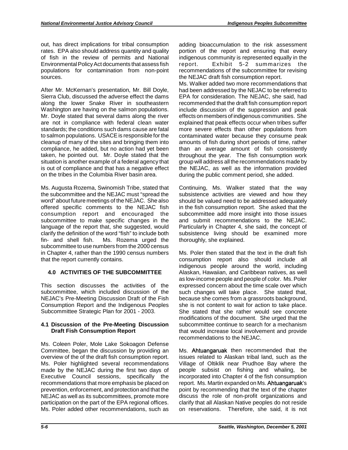out, has direct implications for tribal consumption rates. EPA also should address quantity and quality of fish in the review of permits and National Environmental PolicyAct documents that assess fish populations for contamination from non-point sources.

After Mr. McKernan's presentation, Mr. Bill Doyle, Sierra Club, discussed the adverse effect the dams along the lower Snake River in southeastern Washington are having on the salmon populations. Mr. Doyle stated that several dams along the river are not in compliance with federal clean water standards; the conditions such dams cause are fatal to salmon populations. USACE is responsible for the cleanup of many of the sites and bringing them into compliance, he added, but no action had yet been taken, he pointed out. Mr. Doyle stated that the situation is another example of a federal agency that is out of compliance and that has a negative effect on the tribes in the Columbia River basin area.

Ms. Augusta Rozema, Swinomish Tribe, stated that the subcommittee and the NEJAC must "spread the word" about future meetings of the NEJAC. She also offered specific comments to the NEJAC fish consumption report and encouraged the subcommittee to make specific changes in the language of the report that, she suggested, would clarify the definition of the word "fish" to include both fin- and shell fish. Ms. Rozema urged the subcommittee to use numbers from the 2000 census in Chapter 4, rather than the 1990 census numbers that the report currently contains.

# **4.0 ACTIVITIES OF THE SUBCOMMITTEE**

This section discusses the activities of the subcommittee, which included discussion of the NEJAC's Pre-Meeting Discussion Draft of the Fish Consumption Report and the Indigenous Peoples Subcommittee Strategic Plan for 2001 - 2003.

#### **4.1 Discussion of the Pre-Meeting Discussion Draft Fish Consumption Report**

Ms. Coleen Poler, Mole Lake Sokoagon Defense Committee, began the discussion by providing an overview of the of the draft fish consumption report. Ms. Poler highlighted several recommendations made by the NEJAC during the first two days of Executive Council sessions, specifically the recommendations that more emphasis be placed on prevention, enforcement, and protection and that the NEJAC as well as its subcommittees, promote more participation on the part of the EPA regional offices. Ms. Poler added other recommendations, such as

adding bioaccumulation to the risk assessment portion of the report and ensuring that every indigenous community is represented equally in the report. Exhibit 5-2 summarizes the recommendations of the subcommittee for revising the NEJAC draft fish consumption report.

Ms. Walker added two more recommendations that had been addressed by the NEJAC to be referred to EPA for consideration. The NEJAC, she said, had recommended that the draft fish consumption report include discussion of the suppression and peak effects on members of indigenous communities. She explained that peak effects occur when tribes suffer more severe effects than other populations from contaminated water because they consume peak amounts of fish during short periods of time, rather than an average amount of fish consistently throughout the year. The fish consumption work group will address all the recommendations made by the NEJAC, as well as the information provided during the public comment period, she added.

Continuing, Ms. Walker stated that the way subsistence activities are viewed and how they should be valued need to be addressed adequately in the fish consumption report. She asked that the subcommittee add more insight into those issues and submit recommendations to the NEJAC. Particularly in Chapter 4, she said, the concept of subsistence living should be examined more thoroughly, she explained.

Ms. Poler then stated that the text in the draft fish consumption report also should include all indigenous people around the world, including Alaskan, Hawaiian, and Caribbean natives, as well as low-income people and people of color. Ms. Poler expressed concern about the time scale over which such changes will take place. She stated that, because she comes from a grassroots background, she is not content to wait for action to take place. She stated that she rather would see concrete modifications of the document. She urged that the subcommittee continue to search for a mechanism that would increase local involvement and provide recommendations to the NEJAC.

Ms. Ahtuangaruak then recommended that the issues related to Alaskan tribal land, such as the Village of Oltiklik near Prudhoe Bay where the people subsist on fishing and whaling, be incorporated into Chapter 4 of the fish consumption report. Ms. Martin expanded on Ms. Ahtuangaruak's point by recommending that the text of the chapter discuss the role of non-profit organizations and clarify that all Alaskan Native peoples do not reside on reservations. Therefore, she said, it is not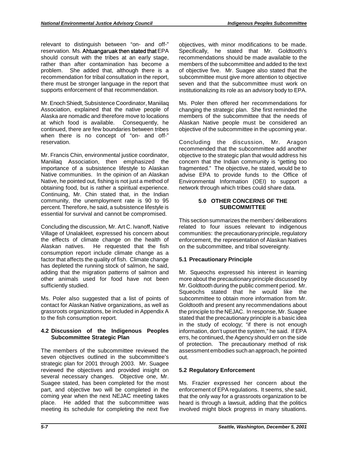relevant to distinguish between "on- and off-" reservation. Ms. Ahtuangaruak then stated that EPA should consult with the tribes at an early stage, rather than after contamination has become a problem. She added that, although there is a recommendation for tribal consultation in the report, there must be stronger language in the report that supports enforcement of that recommendation.

Mr. Enoch Shiedt, Subsistence Coordinator, Maniilaq Association, explained that the native people of Alaska are nomadic and therefore move to locations at which food is available. Consequently, he continued, there are few boundaries between tribes when there is no concept of "on- and off-" reservation.

Mr. Francis Chin, environmental justice coordinator, Maniilaq Association, then emphasized the importance of a subsistence lifestyle to Alaskan Native communities. In the opinion of an Alaskan Native, he pointed out, fishing is not just a method of obtaining food, but is rather a spiritual experience. Continuing, Mr. Chin stated that, in the Indian community, the unemployment rate is 90 to 95 percent. Therefore, he said, a subsistence lifestyle is essential for survival and cannot be compromised.

Concluding the discussion, Mr. Art C. Ivanoff, Native Village of Unalakleet, expressed his concern about the effects of climate change on the health of Alaskan natives. He requested that the fish consumption report include climate change as a factor that affects the quality of fish. Climate change has depleted the running stock of salmon, he said, adding that the migration patterns of salmon and other animals used for food have not been sufficiently studied.

Ms. Poler also suggested that a list of points of contact for Alaskan Native organizations, as well as grassroots organizations, be included in Appendix A to the fish consumption report.

## **4.2 Discussion of the Indigenous Peoples Subcommittee Strategic Plan**

The members of the subcommittee reviewed the seven objectives outlined in the subcommittee's strategic plan for 2001 through 2003. Mr. Suagee reviewed the objectives and provided insight on several necessary changes. Objective one, Mr. Suagee stated, has been completed for the most part, and objective two will be completed in the coming year when the next NEJAC meeting takes place. He added that the subcommittee was meeting its schedule for completing the next five

objectives, with minor modifications to be made. Specifically, he stated that Mr. Goldtooth's recommendations should be made available to the members of the subcommittee and added to the text of objective five. Mr. Suagee also stated that the subcommittee must give more attention to objective seven and that the subcommittee must work on institutionalizing its role as an advisory body to EPA.

Ms. Poler then offered her recommendations for changing the strategic plan. She first reminded the members of the subcommittee that the needs of Alaskan Native people must be considered an objective of the subcommittee in the upcoming year.

Concluding the discussion, Mr. Aragon recommended that the subcommittee add another objective to the strategic plan that would address his concern that the Indian community is "getting too fragmented." The objective, he stated, would be to advise EPA to provide funds to the Office of Environmental Information (OEI) to support a network through which tribes could share data.

## **5.0 OTHER CONCERNS OF THE SUBCOMMITTEE**

This section summarizes the members' deliberations related to four issues relevant to indigenous communities: the precautionary principle, regulatory enforcement, the representation of Alaskan Natives on the subcommittee, and tribal sovereignty.

# **5.1 Precautionary Principle**

Mr. Squeochs expressed his interest in learning more about the precautionary principle discussed by Mr. Goldtooth during the public comment period. Mr. Squeochs stated that he would like the subcommittee to obtain more information from Mr. Goldtooth and present any recommendations about the principle to the NEJAC. In response, Mr. Suagee stated that the precautionary principle is a basic idea in the study of ecology; "if there is not enough information, don't upset the system," he said. If EPA errs, he continued, the Agency should err on the side of protection. The precautionary method of risk assessment embodies such an approach, he pointed out.

# **5.2 Regulatory Enforcement**

Ms. Frazier expressed her concern about the enforcement of EPA regulations. It seems, she said, that the only way for a grassroots organization to be heard is through a lawsuit, adding that the politics involved might block progress in many situations.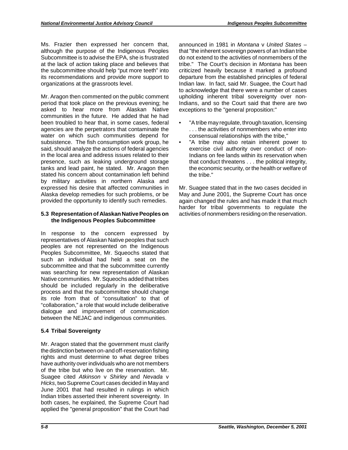Ms. Frazier then expressed her concern that, although the purpose of the Indigenous Peoples Subcommittee is to advise the EPA, she is frustrated at the lack of action taking place and believes that the subcommittee should help "put more teeth" into its recommendations and provide more support to organizations at the grassroots level.

Mr. Aragon then commented on the public comment period that took place on the previous evening; he asked to hear more from Alaskan Native communities in the future. He added that he had been troubled to hear that, in some cases, federal agencies are the perpetrators that contaminate the water on which such communities depend for subsistence. The fish consumption work group, he said, should analyze the actions of federal agencies in the local area and address issues related to their presence, such as leaking underground storage tanks and lead paint, he stated. Mr. Aragon then stated his concern about contamination left behind by military activities in northern Alaska and expressed his desire that affected communities in Alaska develop remedies for such problems, or be provided the opportunity to identify such remedies.

#### **5.3 Representation of Alaskan Native Peoples on the Indigenous Peoples Subcommittee**

In response to the concern expressed by representatives of Alaskan Native peoples that such peoples are not represented on the Indigenous Peoples Subcommittee, Mr. Squeochs stated that such an individual had held a seat on the subcommittee and that the subcommittee currently was searching for new representation of Alaskan Native communities. Mr. Squeochs added that tribes should be included regularly in the deliberative process and that the subcommittee should change its role from that of "consultation" to that of "collaboration," a role that would include deliberative dialogue and improvement of communication between the NEJAC and indigenous communities.

# **5.4 Tribal Sovereignty**

Mr. Aragon stated that the government must clarify the distinction between on-and off-reservation fishing rights and must determine to what degree tribes have authority over individuals who are not members of the tribe but who live on the reservation. Mr. Suagee cited Atkinson v Shirley and Nevada v Hicks, two Supreme Court cases decided in Mayand June 2001 that had resulted in rulings in which Indian tribes asserted their inherent sovereignty. In both cases, he explained, the Supreme Court had applied the "general proposition" that the Court had

announced in 1981 in Montana v United States – that "the inherent sovereign powers of an Indian tribe do not extend to the activities of nonmembers of the tribe." The Court's decision in Montana has been criticized heavily because it marked a profound departure from the established principles of federal Indian law. In fact, said Mr. Suagee, the Court had to acknowledge that there were a number of cases upholding inherent tribal sovereignty over non-Indians, and so the Court said that there are two exceptions to the "general proposition:"

- • "A tribe may regulate, through taxation, licensing . . . the activities of nonmembers who enter into consensual relationships with the tribe,"
- • "A tribe may also retain inherent power to exercise civil authority over conduct of non-Indians on fee lands within its reservation when that conduct threatens . . . the political integrity, the economic security, or the health or welfare of the tribe."

Mr. Suagee stated that in the two cases decided in May and June 2001, the Supreme Court has once again changed the rules and has made it that much harder for tribal governments to regulate the activities of nonmembers residing on the reservation.